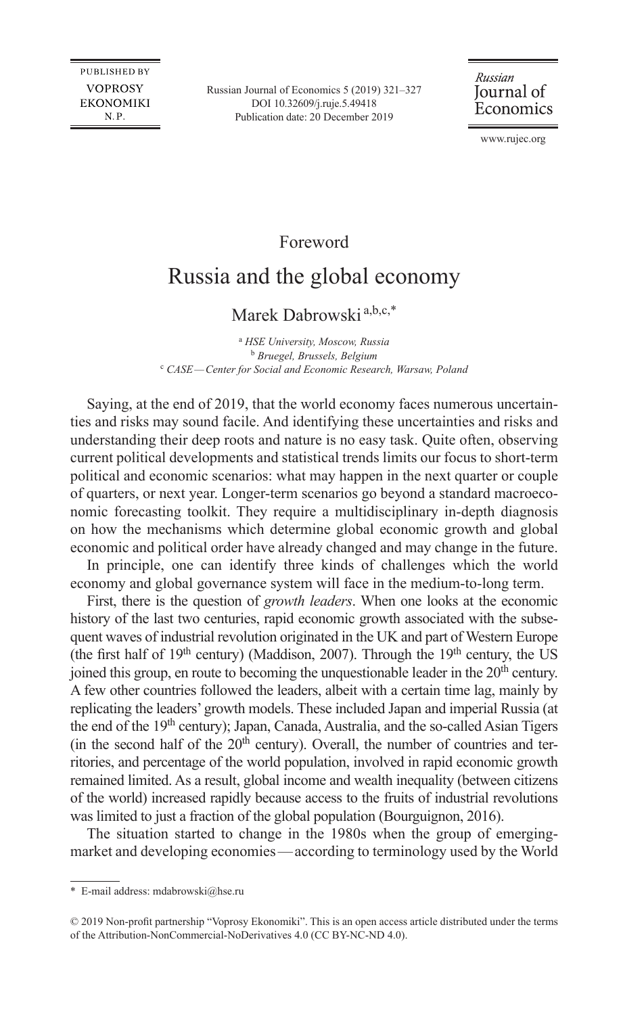Russian Journal of Economics 5 (2019) 321–327 DOI [10.32609/j.ruje.5.49418](https://doi.org/10.32609/j.ruje.5.49418) Publication date: 20 December 2019

### Russian Journal of Economics

www.rujec.org

## Foreword

# Russia and the global economy

### Marek Dabrowski<sup>a,b,c,\*</sup>

a  *HSE University, Moscow, Russia*  <sup>b</sup> *Bruegel, Brussels, Belgium* <sup>c</sup> CASE—Center for Social and Economic Research, Warsaw, Poland

Saying, at the end of 2019, that the world economy faces numerous uncertainties and risks may sound facile. And identifying these uncertainties and risks and understanding their deep roots and nature is no easy task. Quite often, observing current political developments and statistical trends limits our focus to short-term political and economic scenarios: what may happen in the next quarter or couple of quarters, or next year. Longer-term scenarios go beyond a standard macroeconomic forecasting toolkit. They require a multidisciplinary in-depth diagnosis on how the mechanisms which determine global economic growth and global economic and political order have already changed and may change in the future.

In principle, one can identify three kinds of challenges which the world economy and global governance system will face in the medium-to-long term.

First, there is the question of *growth leaders*. When one looks at the economic history of the last two centuries, rapid economic growth associated with the subsequent waves of industrial revolution originated in the UK and part of Western Europe (the first half of 19<sup>th</sup> century) (Maddison, 2007). Through the 19<sup>th</sup> century, the US joined this group, en route to becoming the unquestionable leader in the 20<sup>th</sup> century. A few other countries followed the leaders, albeit with a certain time lag, mainly by replicating the leaders' growth models. These included Japan and imperial Russia (at the end of the 19<sup>th</sup> century); Japan, Canada, Australia, and the so-called Asian Tigers (in the second half of the  $20<sup>th</sup>$  century). Overall, the number of countries and territories, and percentage of the world population, involved in rapid economic growth remained limited. As a result, global income and wealth inequality (between citizens of the world) increased rapidly because access to the fruits of industrial revolutions was limited to just a fraction of the global population (Bourguignon, 2016).

The situation started to change in the 1980s when the group of emergingmarket and developing economies—according to terminology used by the World

<sup>\*</sup> E-mail address: [mdabrowski@hse.ru](mailto:mdabrowski@hse.ru)

<sup>© 2019</sup> Non-profit partnership "Voprosy Ekonomiki". This is an open access article distributed under the terms of the [Attribution-NonCommercial-NoDerivatives 4.0 \(CC BY-NC-ND 4.0\)](http://creativecommons.org/licenses/by-nc-nd/4.0/).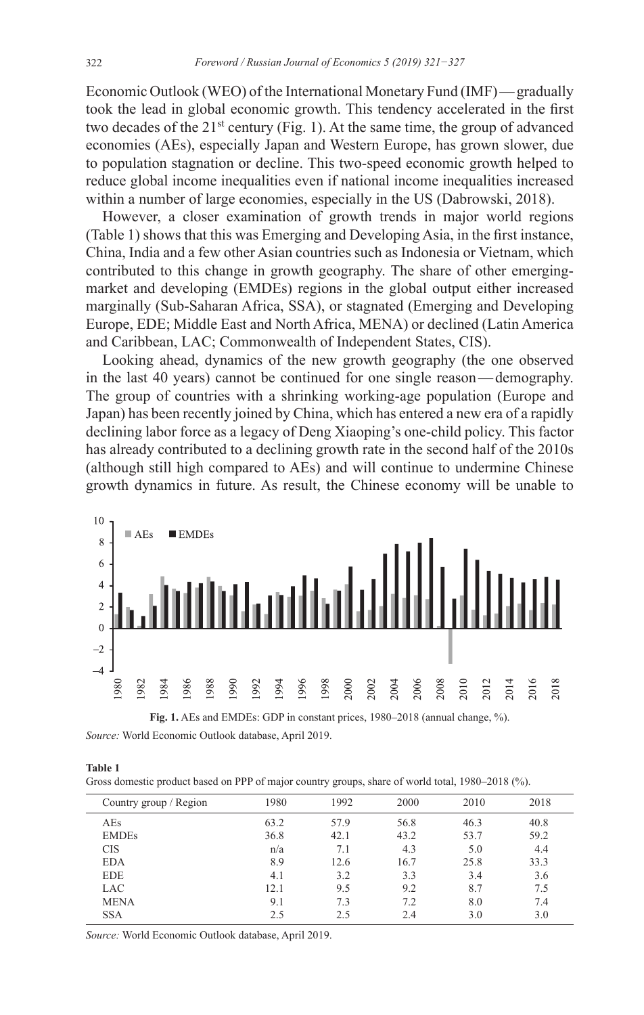Economic Outlook (WEO) of the International Monetary Fund (IMF)—gradually took the lead in global economic growth. This tendency accelerated in the first two decades of the  $21^{st}$  century (Fig. 1). At the same time, the group of advanced economies (AEs), especially Japan and Western Europe, has grown slower, due to population stagnation or decline. This two-speed economic growth helped to reduce global income inequalities even if national income inequalities increased within a number of large economies, especially in the US (Dabrowski, 2018).

However, a closer examination of growth trends in major world regions (Table 1) shows that this was Emerging and Developing Asia, in the first instance, China, India and a few other Asian countries such as Indonesia or Vietnam, which contributed to this change in growth geography. The share of other emergingmarket and developing (EMDEs) regions in the global output either increased marginally (Sub-Saharan Africa, SSA), or stagnated (Emerging and Developing Europe, EDE; Middle East and North Africa, MENA) or declined (Latin America and Caribbean, LAC; Commonwealth of Independent States, CIS).

Looking ahead, dynamics of the new growth geography (the one observed in the last 40 years) cannot be continued for one single reason—demography. The group of countries with a shrinking working-age population (Europe and Japan) has been recently joined by China, which has entered a new era of a rapidly declining labor force as a legacy of Deng Xiaoping's one-child policy. This factor has already contributed to a declining growth rate in the second half of the 2010s (although still high compared to AEs) and will continue to undermine Chinese growth dynamics in future. As result, the Chinese economy will be unable to



**Fig. 1.** AEs and EMDEs: GDP in constant prices, 1980–2018 (annual change, %). *Source:* World Economic Outlook database, April 2019.

| . .<br>۰.<br>۰.<br>× |  |  |  |
|----------------------|--|--|--|
|----------------------|--|--|--|

Gross domestic product based on PPP of major country groups, share of world total, 1980–2018 (%).

| Country group / Region | 1980 | 1992 | 2000 | 2010 | 2018 |
|------------------------|------|------|------|------|------|
| AEs                    | 63.2 | 57.9 | 56.8 | 46.3 | 40.8 |
| <b>EMDEs</b>           | 36.8 | 42.1 | 43.2 | 53.7 | 59.2 |
| <b>CIS</b>             | n/a  | 7.1  | 4.3  | 5.0  | 4.4  |
| <b>EDA</b>             | 8.9  | 12.6 | 16.7 | 25.8 | 33.3 |
| <b>EDE</b>             | 4.1  | 3.2  | 3.3  | 3.4  | 3.6  |
| LAC                    | 12.1 | 9.5  | 9.2  | 8.7  | 7.5  |
| <b>MENA</b>            | 9.1  | 7.3  | 7.2  | 8.0  | 7.4  |
| <b>SSA</b>             | 2.5  | 2.5  | 2.4  | 3.0  | 3.0  |

*Source:* World Economic Outlook database, April 2019.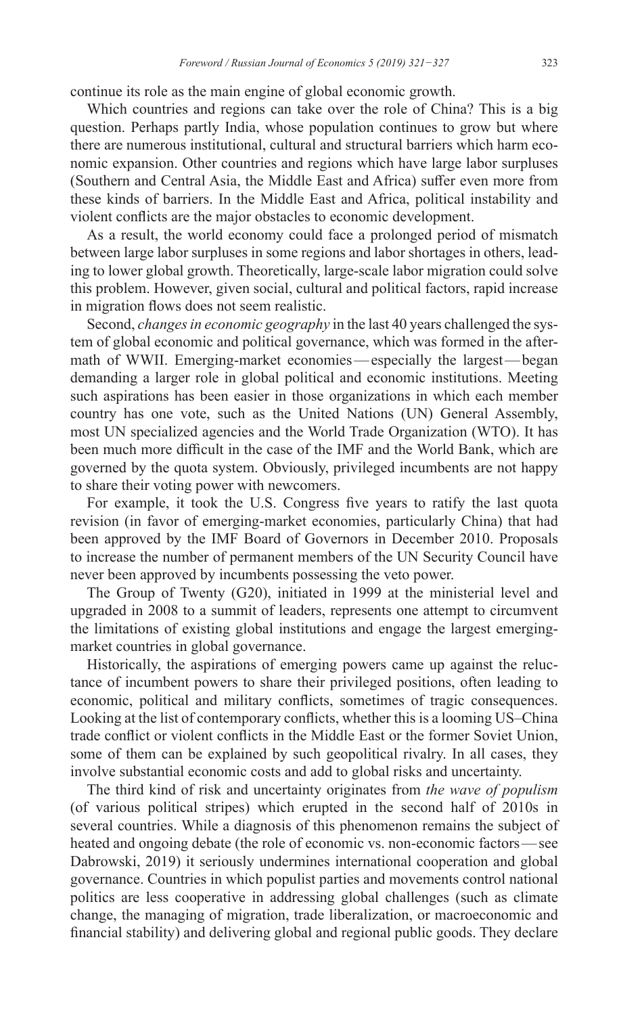continue its role as the main engine of global economic growth.

Which countries and regions can take over the role of China? This is a big question. Perhaps partly India, whose population continues to grow but where there are numerous institutional, cultural and structural barriers which harm economic expansion. Other countries and regions which have large labor surpluses (Southern and Central Asia, the Middle East and Africa) suffer even more from these kinds of barriers. In the Middle East and Africa, political instability and violent conflicts are the major obstacles to economic development.

As a result, the world economy could face a prolonged period of mismatch between large labor surpluses in some regions and labor shortages in others, leading to lower global growth. Theoretically, large-scale labor migration could solve this problem. However, given social, cultural and political factors, rapid increase in migration flows does not seem realistic.

Second, *changes in economic geography* in the last 40 years challenged the system of global economic and political governance, which was formed in the aftermath of WWII. Emerging-market economies—especially the largest—began demanding a larger role in global political and economic institutions. Meeting such aspirations has been easier in those organizations in which each member country has one vote, such as the United Nations (UN) General Assembly, most UN specialized agencies and the World Trade Organization (WTO). It has been much more difficult in the case of the IMF and the World Bank, which are governed by the quota system. Obviously, privileged incumbents are not happy to share their voting power with newcomers.

For example, it took the U.S. Congress five years to ratify the last quota revision (in favor of emerging-market economies, particularly China) that had been approved by the IMF Board of Governors in December 2010. Proposals to increase the number of permanent members of the UN Security Council have never been approved by incumbents possessing the veto power.

The Group of Twenty (G20), initiated in 1999 at the ministerial level and upgraded in 2008 to a summit of leaders, represents one attempt to circumvent the limitations of existing global institutions and engage the largest emergingmarket countries in global governance.

Historically, the aspirations of emerging powers came up against the reluctance of incumbent powers to share their privileged positions, often leading to economic, political and military conflicts, sometimes of tragic consequences. Looking at the list of contemporary conflicts, whether this is a looming US–China trade conflict or violent conflicts in the Middle East or the former Soviet Union, some of them can be explained by such geopolitical rivalry. In all cases, they involve substantial economic costs and add to global risks and uncertainty.

The third kind of risk and uncertainty originates from *the wave of populism*  (of various political stripes) which erupted in the second half of 2010s in several countries. While a diagnosis of this phenomenon remains the subject of heated and ongoing debate (the role of economic vs. non-economic factors—see Dabrowski, 2019) it seriously undermines international cooperation and global governance. Countries in which populist parties and movements control national politics are less cooperative in addressing global challenges (such as climate change, the managing of migration, trade liberalization, or macroeconomic and financial stability) and delivering global and regional public goods. They declare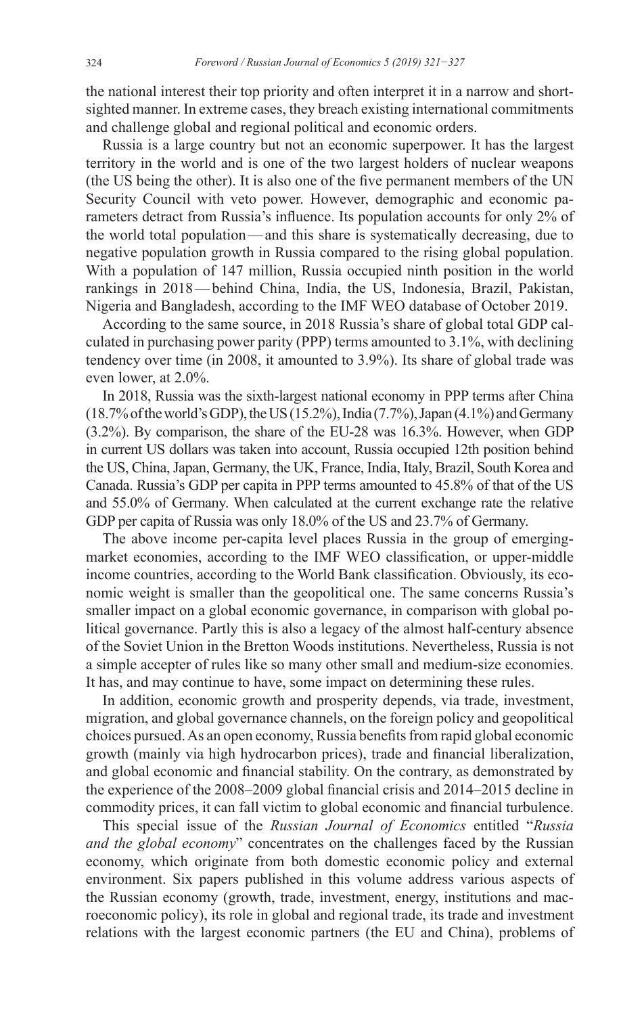the national interest their top priority and often interpret it in a narrow and shortsighted manner. In extreme cases, they breach existing international commitments and challenge global and regional political and economic orders.

Russia is a large country but not an economic superpower. It has the largest territory in the world and is one of the two largest holders of nuclear weapons (the US being the other). It is also one of the five permanent members of the UN Security Council with veto power. However, demographic and economic parameters detract from Russia's influence. Its population accounts for only 2% of the world total population—and this share is systematically decreasing, due to negative population growth in Russia compared to the rising global population. With a population of 147 million, Russia occupied ninth position in the world rankings in 2018—behind China, India, the US, Indonesia, Brazil, Pakistan, Nigeria and Bangladesh, according to the IMF WEO database of October 2019.

According to the same source, in 2018 Russia's share of global total GDP calculated in purchasing power parity (PPP) terms amounted to 3.1%, with declining tendency over time (in 2008, it amounted to 3.9%). Its share of global trade was even lower, at 2.0%.

In 2018, Russia was the sixth-largest national economy in PPP terms after China  $(18.7\%$  of the world's GDP), the US  $(15.2\%)$ , India  $(7.7\%)$ , Japan  $(4.1\%)$  and Germany (3.2%). By comparison, the share of the EU-28 was 16.3%. However, when GDP in current US dollars was taken into account, Russia occupied 12th position behind the US, China, Japan, Germany, the UK, France, India, Italy, Brazil, South Korea and Canada. Russia's GDP per capita in PPP terms amounted to 45.8% of that of the US and 55.0% of Germany. When calculated at the current exchange rate the relative GDP per capita of Russia was only 18.0% of the US and 23.7% of Germany.

The above income per-capita level places Russia in the group of emergingmarket economies, according to the IMF WEO classification, or upper-middle income countries, according to the World Bank classification. Obviously, its economic weight is smaller than the geopolitical one. The same concerns Russia's smaller impact on a global economic governance, in comparison with global political governance. Partly this is also a legacy of the almost half-century absence of the Soviet Union in the Bretton Woods institutions. Nevertheless, Russia is not a simple accepter of rules like so many other small and medium-size economies. It has, and may continue to have, some impact on determining these rules.

In addition, economic growth and prosperity depends, via trade, investment, migration, and global governance channels, on the foreign policy and geopolitical choices pursued. As an open economy, Russia benefits from rapid global economic growth (mainly via high hydrocarbon prices), trade and financial liberalization, and global economic and financial stability. On the contrary, as demonstrated by the experience of the 2008–2009 global financial crisis and 2014–2015 decline in commodity prices, it can fall victim to global economic and financial turbulence.

This special issue of the *Russian Journal of Economics* entitled "*Russia and the global economy*" concentrates on the challenges faced by the Russian economy, which originate from both domestic economic policy and external environment. Six papers published in this volume address various aspects of the Russian economy (growth, trade, investment, energy, institutions and macroeconomic policy), its role in global and regional trade, its trade and investment relations with the largest economic partners (the EU and China), problems of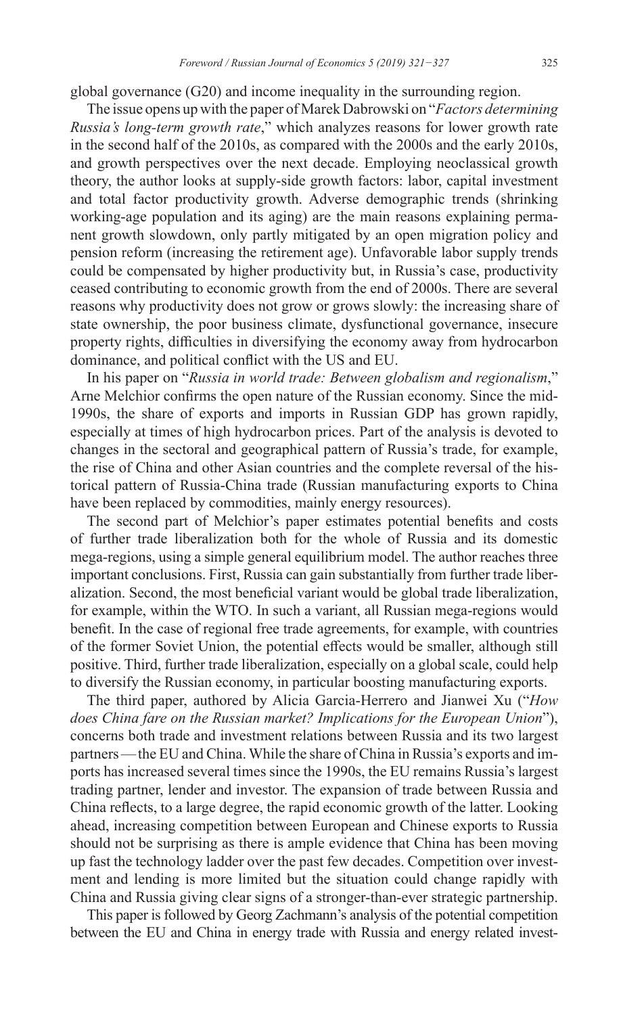global governance (G20) and income inequality in the surrounding region.

The issue opens up with the paper of Marek Dabrowski on "*Factors determining Russia's long-term growth rate*," which analyzes reasons for lower growth rate in the second half of the 2010s, as compared with the 2000s and the early 2010s, and growth perspectives over the next decade. Employing neoclassical growth theory, the author looks at supply-side growth factors: labor, capital investment and total factor productivity growth. Adverse demographic trends (shrinking working-age population and its aging) are the main reasons explaining permanent growth slowdown, only partly mitigated by an open migration policy and pension reform (increasing the retirement age). Unfavorable labor supply trends could be compensated by higher productivity but, in Russia's case, productivity ceased contributing to economic growth from the end of 2000s. There are several reasons why productivity does not grow or grows slowly: the increasing share of state ownership, the poor business climate, dysfunctional governance, insecure property rights, difficulties in diversifying the economy away from hydrocarbon dominance, and political conflict with the US and EU.

In his paper on "*Russia in world trade: Between globalism and regionalism*," Arne Melchior confirms the open nature of the Russian economy. Since the mid-1990s, the share of exports and imports in Russian GDP has grown rapidly, especially at times of high hydrocarbon prices. Part of the analysis is devoted to changes in the sectoral and geographical pattern of Russia's trade, for example, the rise of China and other Asian countries and the complete reversal of the historical pattern of Russia-China trade (Russian manufacturing exports to China have been replaced by commodities, mainly energy resources).

The second part of Melchior's paper estimates potential benefits and costs of further trade liberalization both for the whole of Russia and its domestic mega-regions, using a simple general equilibrium model. The author reaches three important conclusions. First, Russia can gain substantially from further trade liberalization. Second, the most beneficial variant would be global trade liberalization, for example, within the WTO. In such a variant, all Russian mega-regions would benefit. In the case of regional free trade agreements, for example, with countries of the former Soviet Union, the potential effects would be smaller, although still positive. Third, further trade liberalization, especially on a global scale, could help to diversify the Russian economy, in particular boosting manufacturing exports.

The third paper, authored by Alicia Garcia-Herrero and Jianwei Xu ("*How does China fare on the Russian market? Implications for the European Union*"), concerns both trade and investment relations between Russia and its two largest partners—the EU and China. While the share of China in Russia's exports and imports has increased several times since the 1990s, the EU remains Russia's largest trading partner, lender and investor. The expansion of trade between Russia and China reflects, to a large degree, the rapid economic growth of the latter. Looking ahead, increasing competition between European and Chinese exports to Russia should not be surprising as there is ample evidence that China has been moving up fast the technology ladder over the past few decades. Competition over investment and lending is more limited but the situation could change rapidly with China and Russia giving clear signs of a stronger-than-ever strategic partnership.

This paper is followed by Georg Zachmann's analysis of the potential competition between the EU and China in energy trade with Russia and energy related invest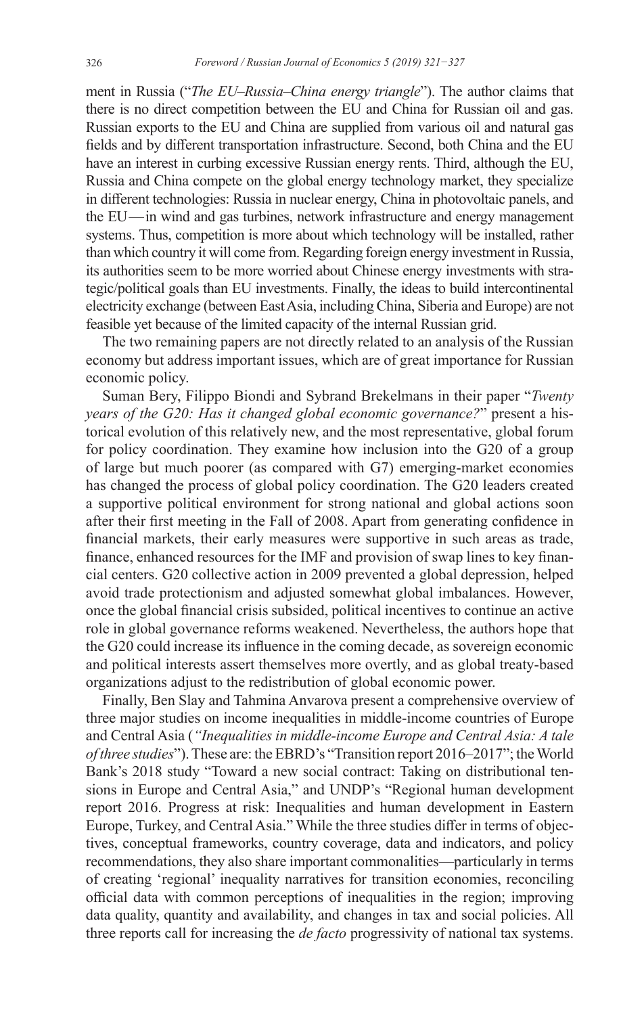ment in Russia ("*The EU–Russia–China energy triangle*"). The author claims that there is no direct competition between the EU and China for Russian oil and gas. Russian exports to the EU and China are supplied from various oil and natural gas fields and by different transportation infrastructure. Second, both China and the EU have an interest in curbing excessive Russian energy rents. Third, although the EU, Russia and China compete on the global energy technology market, they specialize in different technologies: Russia in nuclear energy, China in photovoltaic panels, and the EU—in wind and gas turbines, network infrastructure and energy management systems. Thus, competition is more about which technology will be installed, rather than which country it will come from. Regarding foreign energy investment in Russia, its authorities seem to be more worried about Chinese energy investments with strategic/political goals than EU investments. Finally, the ideas to build intercontinental electricity exchange (between East Asia, including China, Siberia and Europe) are not feasible yet because of the limited capacity of the internal Russian grid.

The two remaining papers are not directly related to an analysis of the Russian economy but address important issues, which are of great importance for Russian economic policy.

Suman Bery, Filippo Biondi and Sybrand Brekelmans in their paper "*Twenty years of the G20: Has it changed global economic governance?*" present a historical evolution of this relatively new, and the most representative, global forum for policy coordination. They examine how inclusion into the G20 of a group of large but much poorer (as compared with G7) emerging-market economies has changed the process of global policy coordination. The G20 leaders created a supportive political environment for strong national and global actions soon after their first meeting in the Fall of 2008. Apart from generating confidence in financial markets, their early measures were supportive in such areas as trade, finance, enhanced resources for the IMF and provision of swap lines to key financial centers. G20 collective action in 2009 prevented a global depression, helped avoid trade protectionism and adjusted somewhat global imbalances. However, once the global financial crisis subsided, political incentives to continue an active role in global governance reforms weakened. Nevertheless, the authors hope that the G20 could increase its influence in the coming decade, as sovereign economic and political interests assert themselves more overtly, and as global treaty-based organizations adjust to the redistribution of global economic power.

Finally, Ben Slay and Tahmina Anvarova present a comprehensive overview of three major studies on income inequalities in middle-income countries of Europe and Central Asia (*"Inequalities in middle-income Europe and Central Asia: A tale of three studies*"). These are: the EBRD's "Transition report 2016–2017"; the World Bank's 2018 study "Toward a new social contract: Taking on distributional tensions in Europe and Central Asia," and UNDP's "Regional human development report 2016. Progress at risk: Inequalities and human development in Eastern Europe, Turkey, and Central Asia." While the three studies differ in terms of objectives, conceptual frameworks, country coverage, data and indicators, and policy recommendations, they also share important commonalities—particularly in terms of creating 'regional' inequality narratives for transition economies, reconciling official data with common perceptions of inequalities in the region; improving data quality, quantity and availability, and changes in tax and social policies. All three reports call for increasing the *de facto* progressivity of national tax systems.